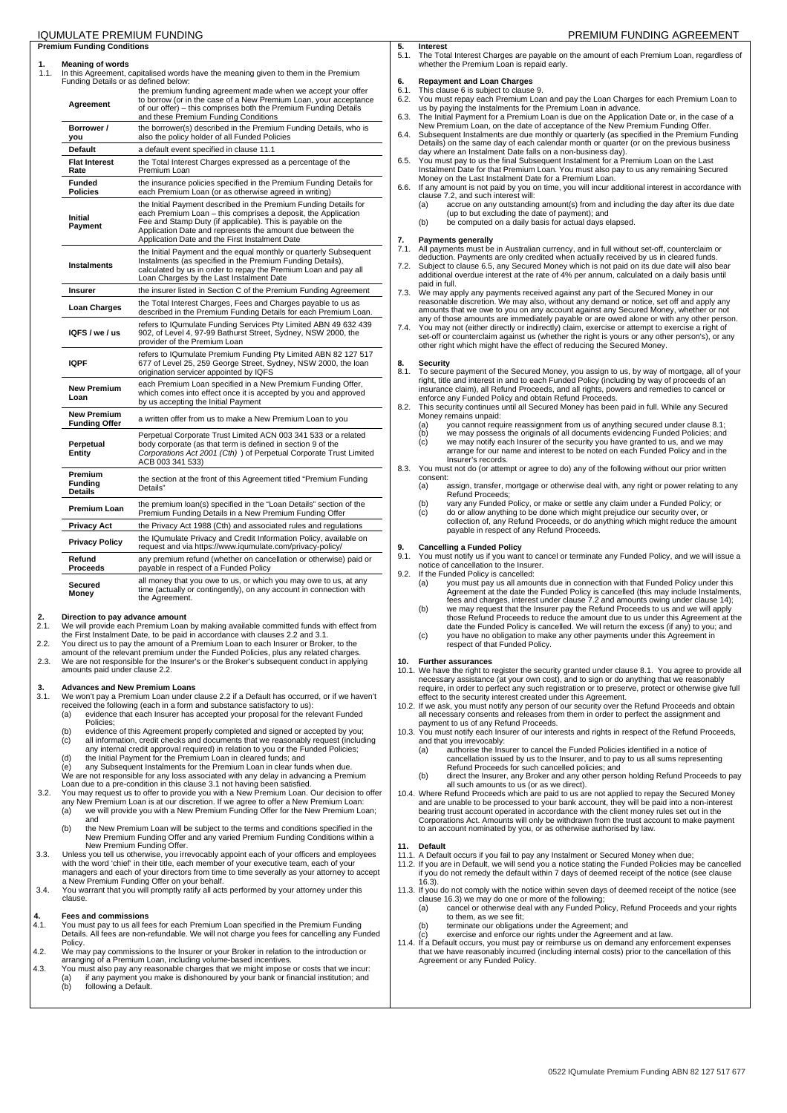# **Premium Funding Conditions**

**1.** Meaning of words 1.1. In this Agreement, capitalised words have the meaning given to them in the Premium

| Funding Details or as defined below:       | in this Agreement, capitalised words have the meaning given to them in the Premium                                                                                                                                                                                                                              |
|--------------------------------------------|-----------------------------------------------------------------------------------------------------------------------------------------------------------------------------------------------------------------------------------------------------------------------------------------------------------------|
| Agreement                                  | the premium funding agreement made when we accept your offer<br>to borrow (or in the case of a New Premium Loan, your acceptance<br>of our offer) - this comprises both the Premium Funding Details<br>and these Premium Funding Conditions                                                                     |
| Borrower /<br>you                          | the borrower(s) described in the Premium Funding Details, who is<br>also the policy holder of all Funded Policies                                                                                                                                                                                               |
| <b>Default</b>                             | a default event specified in clause 11.1                                                                                                                                                                                                                                                                        |
| <b>Flat Interest</b><br>Rate               | the Total Interest Charges expressed as a percentage of the<br>Premium Loan                                                                                                                                                                                                                                     |
| Funded<br><b>Policies</b>                  | the insurance policies specified in the Premium Funding Details for<br>each Premium Loan (or as otherwise agreed in writing)                                                                                                                                                                                    |
| <b>Initial</b><br>Payment                  | the Initial Payment described in the Premium Funding Details for<br>each Premium Loan - this comprises a deposit, the Application<br>Fee and Stamp Duty (if applicable). This is payable on the<br>Application Date and represents the amount due between the<br>Application Date and the First Instalment Date |
| <b>Instalments</b>                         | the Initial Payment and the equal monthly or quarterly Subsequent<br>Instalments (as specified in the Premium Funding Details),<br>calculated by us in order to repay the Premium Loan and pay all<br>Loan Charges by the Last Instalment Date                                                                  |
| Insurer                                    | the insurer listed in Section C of the Premium Funding Agreement                                                                                                                                                                                                                                                |
| Loan Charges                               | the Total Interest Charges, Fees and Charges payable to us as<br>described in the Premium Funding Details for each Premium Loan.                                                                                                                                                                                |
| IOFS/we/us                                 | refers to IQumulate Funding Services Pty Limited ABN 49 632 439<br>902, of Level 4, 97-99 Bathurst Street, Sydney, NSW 2000, the<br>provider of the Premium Loan                                                                                                                                                |
| <b>IQPF</b>                                | refers to IQumulate Premium Funding Pty Limited ABN 82 127 517<br>677 of Level 25, 259 George Street, Sydney, NSW 2000, the loan<br>origination servicer appointed by IQFS                                                                                                                                      |
| <b>New Premium</b><br>Loan                 | each Premium Loan specified in a New Premium Funding Offer,<br>which comes into effect once it is accepted by you and approved<br>by us accepting the Initial Payment                                                                                                                                           |
| <b>New Premium</b><br><b>Funding Offer</b> | a written offer from us to make a New Premium Loan to you                                                                                                                                                                                                                                                       |
| Perpetual<br>Entity                        | Perpetual Corporate Trust Limited ACN 003 341 533 or a related<br>body corporate (as that term is defined in section 9 of the<br>Corporations Act 2001 (Cth) ) of Perpetual Corporate Trust Limited<br>ACB 003 341 533)                                                                                         |
| Premium<br>Funding<br><b>Details</b>       | the section at the front of this Agreement titled "Premium Funding<br>Details"                                                                                                                                                                                                                                  |
| <b>Premium Loan</b>                        | the premium loan(s) specified in the "Loan Details" section of the<br>Premium Funding Details in a New Premium Funding Offer                                                                                                                                                                                    |
| Privacy Act                                | the Privacy Act 1988 (Cth) and associated rules and regulations                                                                                                                                                                                                                                                 |
| <b>Privacy Policy</b>                      | the IQumulate Privacy and Credit Information Policy, available on<br>request and via https://www.iqumulate.com/privacy-policy/                                                                                                                                                                                  |
| Refund<br>Proceeds                         | any premium refund (whether on cancellation or otherwise) paid or<br>payable in respect of a Funded Policy                                                                                                                                                                                                      |
| Secured<br>Money                           | all money that you owe to us, or which you may owe to us, at any<br>time (actually or contingently), on any account in connection with<br>the Aareement.                                                                                                                                                        |

- **2.** Direction to pay advance amount<br>2.1. We will provide each Premium Loan
- 2.1. We will provide each Premium Loan by making available committed funds with effect from the First Instalment Date, to be paid in accordance with clauses 2.2 and 3.1.
- 2.2. You direct us to pay the amount of a Premium Loan to each Insurer or Broker, to the
- amount of the relevant premium under the Funded Policies, plus any related charges.
- 2.3. We are not responsible for the Insurer's or the Broker's subsequent conduct in applying amounts paid under clause 2.2.

- **3. Advances and New Premium Loans**<br>**3.1.** We won't pay a Premium Loan under o 3.1. We won't pay a Premium Loan under clause 2.2 if a Default has occurred, or if we haven't received the following (each in a form and substance satisfactory to us):
	- (a) evidence that each Insurer has accepted your proposal for the relevant Funded Policies;
		- (b) evidence of this Agreement properly completed and signed or accepted by you;<br>(c) all information, credit checks and documents that we reasonably request (include (c) all information, credit checks and documents that we reasonably request (including any internal credit approval required) in relation to you or the Funded Policies;
		- (d) the Initial Payment for the Premium Loan in cleared funds; and

(e) any Subsequent Instalments for the Premium Loan in clear funds when due. We are not responsible for any loss associated with any delay in advancing a Premium

Loan due to a pre-condition in this clause 3.1 not having been satisfied. 3.2. You may request us to offer to provide you with a New Premium Loan. Our decision to offer any New Premium Loan is at our discretion. If we agree to offer a New Premium Loan:

- (a) we will provide you with a New Premium Funding Offer for the New Premium Loan; and
	- (b) the New Premium Loan will be subject to the terms and conditions specified in the New Premium Funding Offer and any varied Premium Funding Conditions within a New Premium Funding Offer.
- 3.3. Unless you tell us otherwise, you irrevocably appoint each of your officers and employees<br>with the word 'chief' in their title, each member of your executive team, each of your<br>managers and each of your directors from
- a New Premium Funding Offer on your behalf. 3.4. You warrant that you will promptly ratify all acts performed by your attorney under this clause.

## **4. Fees and commissions**<br>4.1 You must pay to us all fe

- 4.1. You must pay to us all fees for each Premium Loan specified in the Premium Funding Details. All fees are non-refundable. We will not charge you fees for cancelling any Funded Policy.
- 4.2. We may pay commissions to the Insurer or your Broker in relation to the introduction or arranging of a Premium Loan, including volume-based incentives.
- 4.3. You must also pay any reasonable charges that we might impose or costs that we incur: (a) if any payment you make is dishonoured by your bank or financial institution; and following a Default.

## IQUMULATE PREMIUM FUNDING PREMIUM FUNDING AGREEMENT

**5.** Interest<br>5.1. The Tota The Total Interest Charges are payable on the amount of each Premium Loan, regardless of whether the Premium Loan is repaid early.

## **6.** Repayment and Loan Charges<br>6.1 This clause 6 is subject to clause

- 6.1. This clause 6 is subject to clause 9.<br>6.2. You must repay each Premium Loa
- 6.2. You must repay each Premium Loan and pay the Loan Charges for each Premium Loan to us by paying the Instalments for the Premium Loan in advance.
- 6.3. The Initial Payment for a Premium Loan is due on the Application Date or, in the case of a New Premium Loan, on the date of acceptance of the New Premium Funding Offer.
- 6.4. Subsequent Instalments are due monthly or quarterly (as specified in the Premium Funding<br>Details) on the same day of each calendar month or quarter (or on the previous business<br>day where an Instalment Date falls on a
- Instalment Date for that Premium Loan. You must also pay to us any remaining Secured Money on the Last Instalment Date for a Premium Loan.
- 6.6. If any amount is not paid by you on time, you will incur additional interest in accordance with clause 7.2, and such interest will:
	- (a) accrue on any outstanding amount(s) from and including the day after its due date<br>(up to but excluding the date of payment); and<br>(b) be computed on a daily basis for actual days elapsed.
		-

**7. Payments generally** 7.1. All payments must be in Australian currency, and in full without set-off, counterclaim or

- deduction. Payments are only credited when actually received by us in cleared funds.<br>T.2. Subject to clause 6.5, any Secured Money which is not paid on its due date will also bear.<br>additional overdue interest at the rate o paid in full.
- 7.3. We may apply any payments received against any part of the Secured Money in our reasonable discretion. We may also, without any demand or notice, set off and apply any amounts that we owe to you on any account against any Secured Money, whether or not any of those amounts are immediately payable or are owed alone or with any other person.
- 7.4. You may not (either directly or indirectly) claim, exercise or attempt to exercise a right of set-off or counterclaim against us (whether the right is yours or any other person's), or any other prior other right have

## 8. **Security**<br>8.1. To secure

To secure payment of the Secured Money, you assign to us, by way of mortgage, all of your right, title and interest in and to each Funded Policy (including by way of proceeds of an insurance claim), all Refund Proceeds, and all rights, powers and remedies to cancel or

- enforce any Funded Policy and obtain Refund Proceeds. 8.2. This security continues until all Secured Money has been paid in full. While any Secured Money remains unpaid:
	-
	- (a) you cannot require reassignment from us of anything secured under clause 8.1;<br>(b) we may possess the originals of all documents evidencing Funded Policies; and<br>(c) we may notify each Insurer of the security you have gr arrange for our name and interest to be noted on each Funded Policy and in the Insurer's records.
- 8.3. You must not do (or attempt or agree to do) any of the following without our prior written consent:<br>(a)
	- ..<br>assign, transfer, mortgage or otherwise deal with, any right or power relating to any Refund Proceeds;
	- (b) vary any Funded Policy, or make or settle any claim under a Funded Policy; or (c) do or allow anything to be done which might prejudice our security over, or
	- collection of, any Refund Proceeds, or do anything which might reduce the amount payable in respect of any Refund Proceeds.

# **9. Cancelling a Funded Policy**<br>**9.1.** You must notify us if you wan

9.1. You must notify us if you want to cancel or terminate any Funded Policy, and we will issue a notice of cancellation to the Insurer.

- 9.2. If the Funded Policy is cancelled: (a) you must pay us all amounts due in connection with that Funded Policy under this Agreement at the date the Funded Policy is cancelled (this may include Instalments,<br>fees and charges, interest under clause 7.2 and amounts owing under clause 14);<br>(b) we may request that the Insurer pay the Refund Proceed
	- those Refund Proceeds to reduce the amount due to us under this Agreement at the date the Funded Policy is cancelled. We will return the excess (if any) to you; and
	- (c) you have no obligation to make any other payments under this Agreement in respect of that Funded Policy.

### **10. Further assurances**

- 10.1. We have the right to register the security granted under clause 8.1. You agree to provide all necessary assistance (at your own cost), and to sign or do anything that we reasonably require, in order to perfect any such registration or to preserve, protect or otherwise give full effect to the security interest created under this Agreement.
- 10.2. If we ask, you must notify any person of our security over the Refund Proceeds and obtain all necessary consents and releases from them in order to perfect the assignment and payment to us of any Refund Proceeds.
- 10.3. You must notify each Insurer of our interests and rights in respect of the Refund Proceeds, and that you irrevocably: (a) authorise the Insurer to cancel the Funded Policies identified in a notice of
	-
	- cancellation issued by us to the Insurer, and to pay to us all sums representing Refund Proceeds for such cancelled policies; and (b) direct the Insurer, any Broker and any other person holding Refund Proceeds to pay
- all such amounts to us (or as we direct). 10.4. Where Refund Proceeds which are paid to us are not applied to repay the Secured Money and are unable to be processed to your bank account, they will be paid into a non-interest<br>bearing trust account operated in accordance with the client money rules set out in the<br>Corporations Act. Amounts will only be with to an account nominated by you, or as otherwise authorised by law.

## **11. Default**

- 11.1. A Default occurs if you fail to pay any Instalment or Secured Money when due; 11.2. If you are in Default, we will send you a notice stating the Funded Policies may be cancelled
- if you do not remedy the default within 7 days of deemed receipt of the notice (see clause 16.3).
- 11.3. If you do not comply with the notice within seven days of deemed receipt of the notice (see clause 16.3) we may do one or more of the following; (a) cancel or otherwise deal with any Funded Policy, Refund Proceeds and your rights
	- to them, as we see fit;
	- (b) terminate our obligations under the Agreement; and (c) exercise and enforce our rights under the Agreement and at law.
- 11.4. If a Default occurs, you must pay or reimburse us on demand any enforcement expenses that we have reasonably incurred (including internal costs) prior to the cancellation of this Agreement or any Funded Policy.